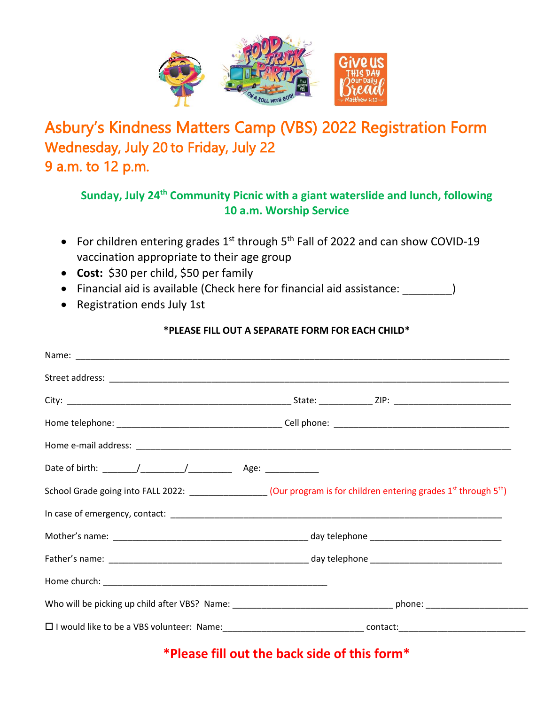

## Asbury's Kindness Matters Camp (VBS) 2022 Registration Form Wednesday, July 20 to Friday, July 22 9 a.m. to 12 p.m.

## **Sunday, July 24th Community Picnic with a giant waterslide and lunch, following 10 a.m. Worship Service**

- For children entering grades  $1^{st}$  through  $5^{th}$  Fall of 2022 and can show COVID-19 vaccination appropriate to their age group
- **Cost:** \$30 per child, \$50 per family
- Financial aid is available (Check here for financial aid assistance: \_\_\_\_\_\_\_\_)
- Registration ends July 1st

## **\*PLEASE FILL OUT A SEPARATE FORM FOR EACH CHILD\***

| School Grade going into FALL 2022: __________________(Our program is for children entering grades $1^{st}$ through $5^{th}$ ) |
|-------------------------------------------------------------------------------------------------------------------------------|
|                                                                                                                               |
|                                                                                                                               |
|                                                                                                                               |
|                                                                                                                               |
|                                                                                                                               |
|                                                                                                                               |

## **\*Please fill out the back side of this form\***